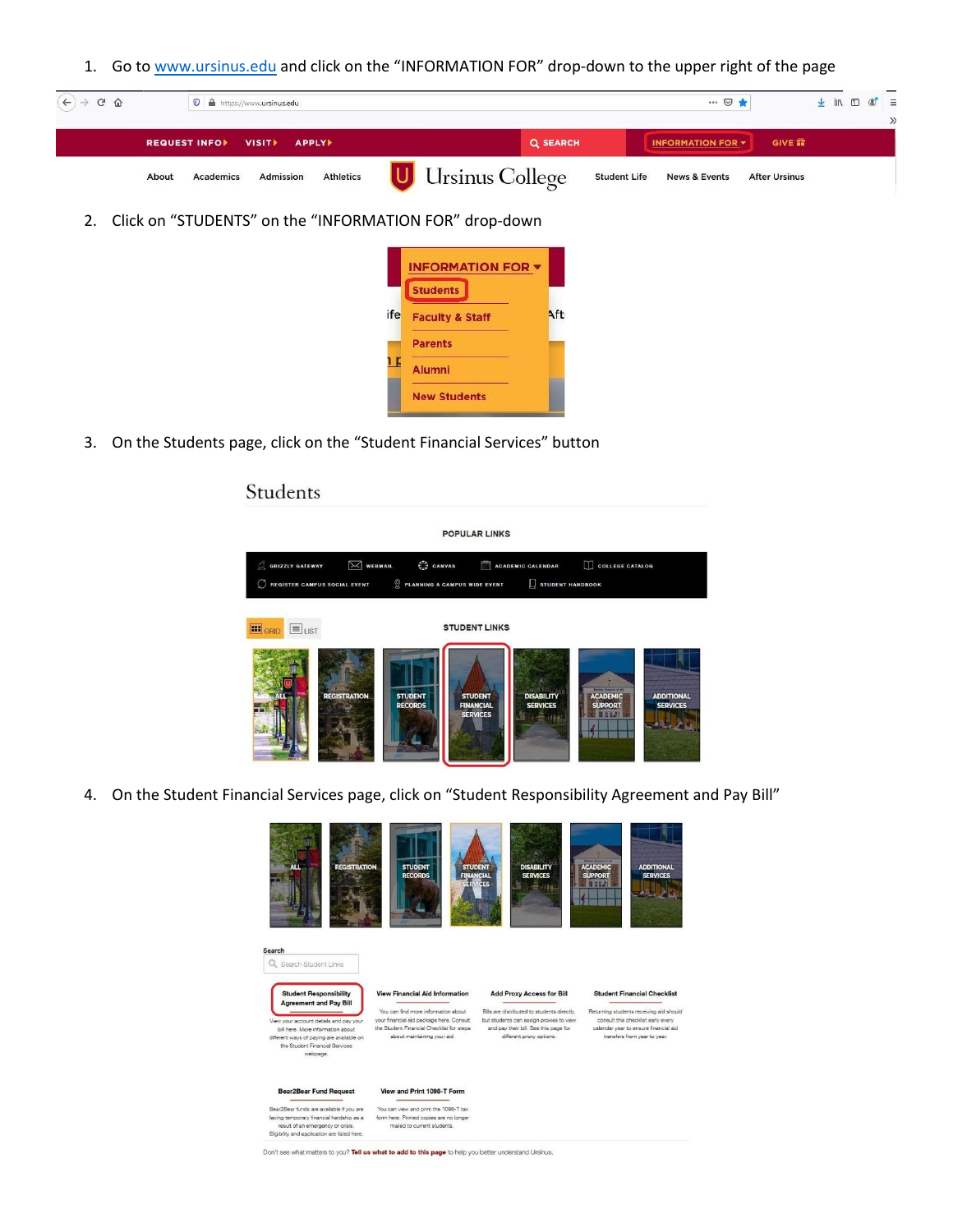1. Go to [www.ursinus.edu](http://www.ursinus.edu/) and click on the "INFORMATION FOR" drop-down to the upper right of the page



2. Click on "STUDENTS" on the "INFORMATION FOR" drop-down



3. On the Students page, click on the "Student Financial Services" button

## Students **POPULAR LINKS**  $\boxtimes$  WEBMAIL COLLEGE CATALOG GRIZZLY GATEWAY  $\int_{V_{\Delta}V}^{T_{\Delta}}$  CANVAS ACADEMIC CALENDAR REGISTER CAMPUS SOCIAL EVENT  $\bigcirc$  PLANNING A CAMPUS WIDE EVENT  $\Box$  STUDENT HANDBOOK **ED** GRID ELIST **STUDENT LINKS ADDITIONA**

4. On the Student Financial Services page, click on "Student Responsibility Agreement and Pay Bill"



Don't see what matters to you? Tell us what to add to this page to help you better understand Ursinus.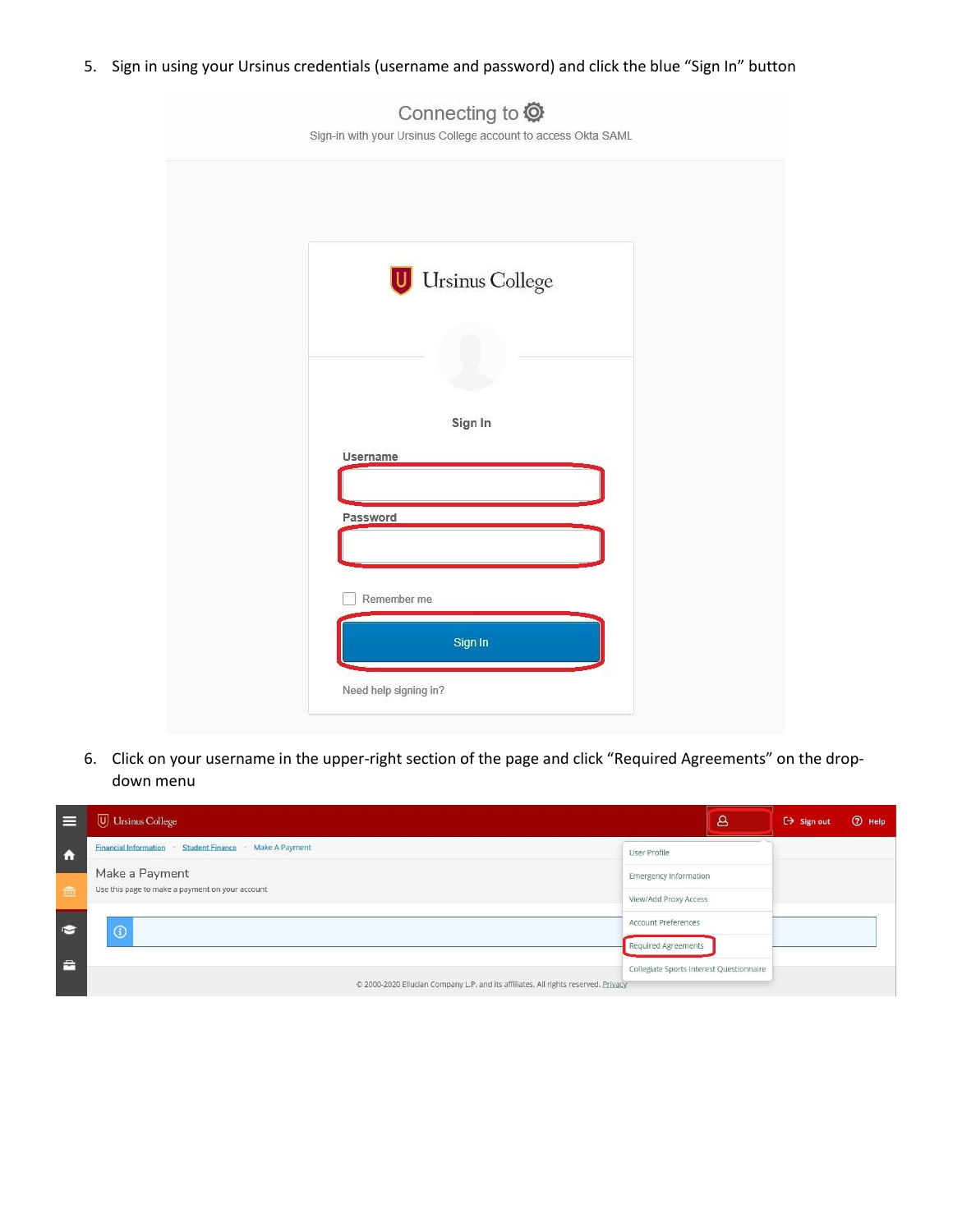5. Sign in using your Ursinus credentials (username and password) and click the blue "Sign In" button

| Sign-in with your Ursinus College account to access Okta SAML |  |
|---------------------------------------------------------------|--|
|                                                               |  |
| <b>Ursinus College</b>                                        |  |
| Sign In                                                       |  |
| Username                                                      |  |
| Password                                                      |  |
| Remember me<br>Sign In                                        |  |
| Need help signing in?                                         |  |

6. Click on your username in the upper-right section of the page and click "Required Agreements" on the dropdown menu



Connecting to  $\bullet$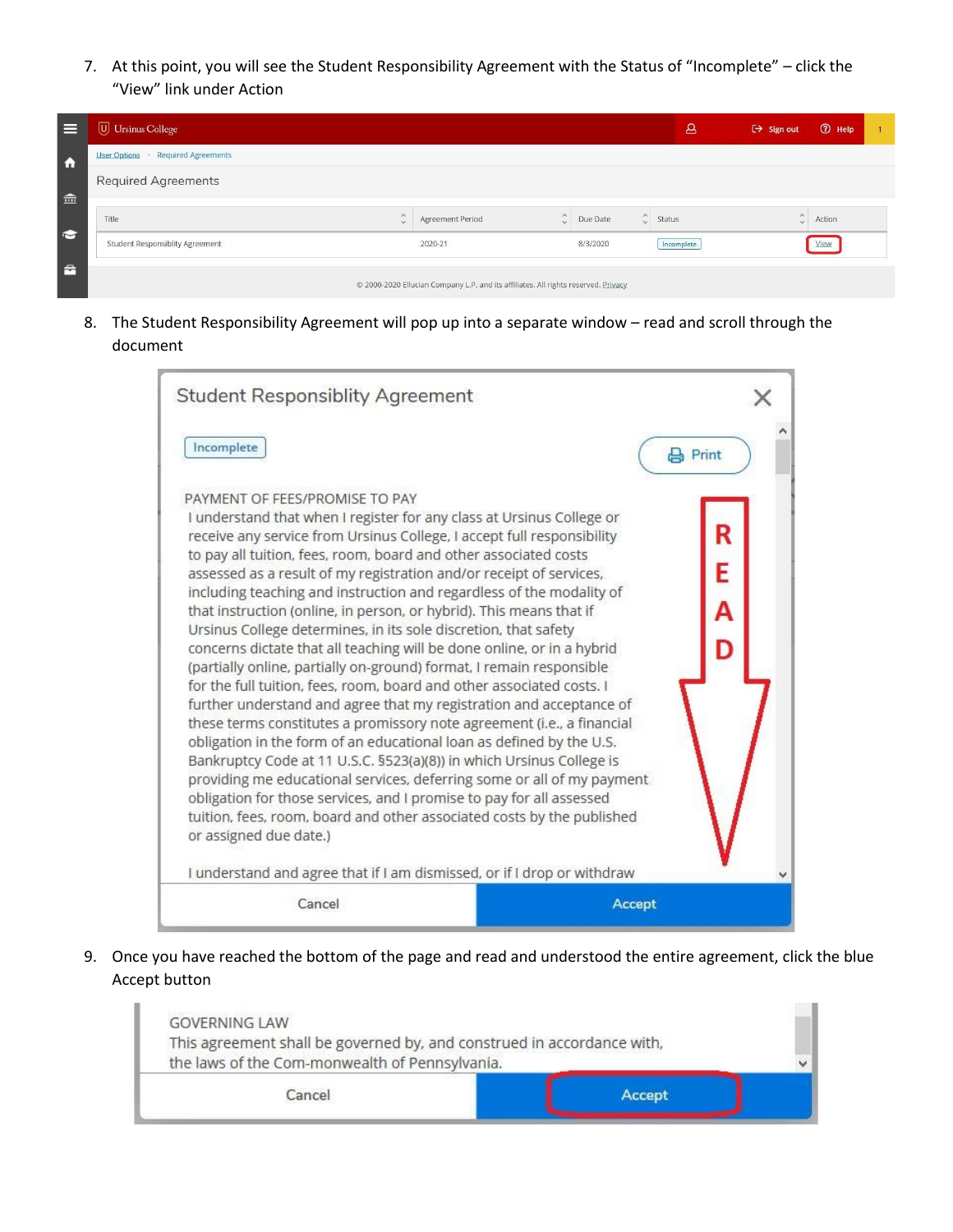7. At this point, you will see the Student Responsibility Agreement with the Status of "Incomplete" – click the "View" link under Action

| ⊫                   | U Ursinus College                                 |                  |                                                                                    |                    |          |           | 8          | $\leftrightarrow$ Sign out | <b>2</b> Help |  |
|---------------------|---------------------------------------------------|------------------|------------------------------------------------------------------------------------|--------------------|----------|-----------|------------|----------------------------|---------------|--|
| $\ddot{\mathbf{r}}$ | <b>Required Agreements</b><br><b>User Options</b> |                  |                                                                                    |                    |          |           |            |                            |               |  |
|                     | <b>Required Agreements</b>                        |                  |                                                                                    |                    |          |           |            |                            |               |  |
| 金                   |                                                   |                  |                                                                                    |                    |          |           |            |                            |               |  |
| $\bullet$           | Title                                             | $\wedge$<br>dia? | Agreement Period                                                                   | $\wedge$<br>$\sim$ | Due Date | $\hat{C}$ | Status     | $\wedge$                   | Action        |  |
|                     | Student Responsiblity Agreement                   |                  | 2020-21                                                                            |                    | 8/3/2020 |           | Incomplete |                            | View          |  |
| $\mathbf{r}$        |                                                   |                  | © 2000-2020 Ellucian Company L.P. and its affiliates. All rights reserved. Privacy |                    |          |           |            |                            |               |  |

8. The Student Responsibility Agreement will pop up into a separate window – read and scroll through the document

| <b>Student Responsiblity Agreement</b><br>Incomplete                                                                                                                                                                                                                                                                                                                                                                                                                                                                                                                                                                                                                                                                                                                                                                                                                                                                                                                                                                                                                                                                                                                                                                                                                                                                             | $\mathbf{B}$ Print |
|----------------------------------------------------------------------------------------------------------------------------------------------------------------------------------------------------------------------------------------------------------------------------------------------------------------------------------------------------------------------------------------------------------------------------------------------------------------------------------------------------------------------------------------------------------------------------------------------------------------------------------------------------------------------------------------------------------------------------------------------------------------------------------------------------------------------------------------------------------------------------------------------------------------------------------------------------------------------------------------------------------------------------------------------------------------------------------------------------------------------------------------------------------------------------------------------------------------------------------------------------------------------------------------------------------------------------------|--------------------|
| PAYMENT OF FEES/PROMISE TO PAY<br>I understand that when I register for any class at Ursinus College or<br>receive any service from Ursinus College, I accept full responsibility<br>to pay all tuition, fees, room, board and other associated costs<br>assessed as a result of my registration and/or receipt of services,<br>including teaching and instruction and regardless of the modality of<br>that instruction (online, in person, or hybrid). This means that if<br>Ursinus College determines, in its sole discretion, that safety<br>concerns dictate that all teaching will be done online, or in a hybrid<br>(partially online, partially on-ground) format, I remain responsible<br>for the full tuition, fees, room, board and other associated costs. I<br>further understand and agree that my registration and acceptance of<br>these terms constitutes a promissory note agreement (i.e., a financial<br>obligation in the form of an educational loan as defined by the U.S.<br>Bankruptcy Code at 11 U.S.C. §523(a)(8)) in which Ursinus College is<br>providing me educational services, deferring some or all of my payment<br>obligation for those services, and I promise to pay for all assessed<br>tuition, fees, room, board and other associated costs by the published<br>or assigned due date.) | R<br>E<br>A        |
| I understand and agree that if I am dismissed, or if I drop or withdraw<br>Cancel                                                                                                                                                                                                                                                                                                                                                                                                                                                                                                                                                                                                                                                                                                                                                                                                                                                                                                                                                                                                                                                                                                                                                                                                                                                | Accept             |

9. Once you have reached the bottom of the page and read and understood the entire agreement, click the blue Accept button